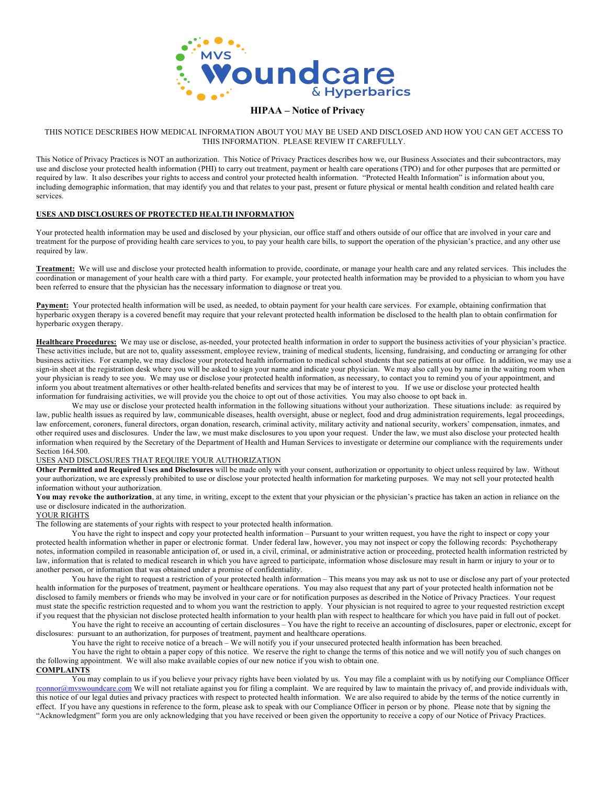

### **HIPAA – Notice of Privacy**

#### THIS NOTICE DESCRIBES HOW MEDICAL INFORMATION ABOUT YOU MAY BE USED AND DISCLOSED AND HOW YOU CAN GET ACCESS TO THIS INFORMATION. PLEASE REVIEW IT CAREFULLY.

This Notice of Privacy Practices is NOT an authorization. This Notice of Privacy Practices describes how we, our Business Associates and their subcontractors, may use and disclose your protected health information (PHI) to carry out treatment, payment or health care operations (TPO) and for other purposes that are permitted or required by law. It also describes your rights to access and control your protected health information. "Protected Health Information" is information about you, including demographic information, that may identify you and that relates to your past, present or future physical or mental health condition and related health care services.

#### **USES AND DISCLOSURES OF PROTECTED HEALTH INFORMATION**

Your protected health information may be used and disclosed by your physician, our office staff and others outside of our office that are involved in your care and treatment for the purpose of providing health care services to you, to pay your health care bills, to support the operation of the physician's practice, and any other use required by law.

**Treatment:** We will use and disclose your protected health information to provide, coordinate, or manage your health care and any related services. This includes the coordination or management of your health care with a third party. For example, your protected health information may be provided to a physician to whom you have been referred to ensure that the physician has the necessary information to diagnose or treat you.

**Payment:** Your protected health information will be used, as needed, to obtain payment for your health care services. For example, obtaining confirmation that hyperbaric oxygen therapy is a covered benefit may require that your relevant protected health information be disclosed to the health plan to obtain confirmation for hyperbaric oxygen therapy.

**Healthcare Procedures:** We may use or disclose, as-needed, your protected health information in order to support the business activities of your physician's practice. These activities include, but are not to, quality assessment, employee review, training of medical students, licensing, fundraising, and conducting or arranging for other business activities. For example, we may disclose your protected health information to medical school students that see patients at our office. In addition, we may use a sign-in sheet at the registration desk where you will be asked to sign your name and indicate your physician. We may also call you by name in the waiting room when your physician is ready to see you. We may use or disclose your protected health information, as necessary, to contact you to remind you of your appointment, and inform you about treatment alternatives or other health-related benefits and services that may be of interest to you. If we use or disclose your protected health information for fundraising activities, we will provide you the choice to opt out of those activities. You may also choose to opt back in.

We may use or disclose your protected health information in the following situations without your authorization. These situations include: as required by law, public health issues as required by law, communicable diseases, health oversight, abuse or neglect, food and drug administration requirements, legal proceedings, law enforcement, coroners, funeral directors, organ donation, research, criminal activity, military activity and national security, workers' compensation, inmates, and other required uses and disclosures. Under the law, we must make disclosures to you upon your request. Under the law, we must also disclose your protected health information when required by the Secretary of the Department of Health and Human Services to investigate or determine our compliance with the requirements under Section 164.500.

#### USES AND DISCLOSURES THAT REQUIRE YOUR AUTHORIZATION

**Other Permitted and Required Uses and Disclosures** will be made only with your consent, authorization or opportunity to object unless required by law. Without your authorization, we are expressly prohibited to use or disclose your protected health information for marketing purposes. We may not sell your protected health information without your authorization.

You may revoke the authorization, at any time, in writing, except to the extent that your physician or the physician's practice has taken an action in reliance on the use or disclosure indicated in the authorization.

#### YOUR RIGHTS

The following are statements of your rights with respect to your protected health information.

You have the right to inspect and copy your protected health information – Pursuant to your written request, you have the right to inspect or copy your protected health information whether in paper or electronic format. Under federal law, however, you may not inspect or copy the following records: Psychotherapy notes, information compiled in reasonable anticipation of, or used in, a civil, criminal, or administrative action or proceeding, protected health information restricted by law, information that is related to medical research in which you have agreed to participate, information whose disclosure may result in harm or injury to your or to another person, or information that was obtained under a promise of confidentiality.

You have the right to request a restriction of your protected health information – This means you may ask us not to use or disclose any part of your protected health information for the purposes of treatment, payment or healthcare operations. You may also request that any part of your protected health information not be disclosed to family members or friends who may be involved in your care or for notification purposes as described in the Notice of Privacy Practices. Your request must state the specific restriction requested and to whom you want the restriction to apply. Your physician is not required to agree to your requested restriction except if you request that the physician not disclose protected health information to your health plan with respect to healthcare for which you have paid in full out of pocket.

You have the right to receive an accounting of certain disclosures – You have the right to receive an accounting of disclosures, paper or electronic, except for disclosures: pursuant to an authorization, for purposes of treatment, payment and healthcare operations.

You have the right to receive notice of a breach – We will notify you if your unsecured protected health information has been breached.

You have the right to obtain a paper copy of this notice. We reserve the right to change the terms of this notice and we will notify you of such changes on the following appointment. We will also make available copies of our new notice if you wish to obtain one.

## **COMPLAINTS**

You may complain to us if you believe your privacy rights have been violated by us. You may file a complaint with us by notifying our Compliance Officer rconnor@mvswoundcare.com We will not retaliate against you for filing a complaint. We are required by law to maintain the privacy of, and provide individuals with, this notice of our legal duties and privacy practices with respect to protected health information. We are also required to abide by the terms of the notice currently in effect. If you have any questions in reference to the form, please ask to speak with our Compliance Officer in person or by phone. Please note that by signing the "Acknowledgment" form you are only acknowledging that you have received or been given the opportunity to receive a copy of our Notice of Privacy Practices.